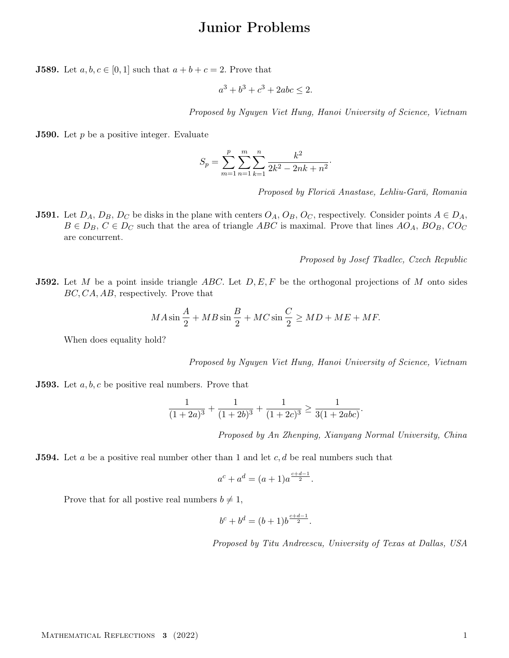## Junior Problems

**J589.** Let  $a, b, c \in [0, 1]$  such that  $a + b + c = 2$ . Prove that

$$
a^3 + b^3 + c^3 + 2abc \le 2.
$$

Proposed by Nguyen Viet Hung, Hanoi University of Science, Vietnam

·

**J590.** Let  $p$  be a positive integer. Evaluate

$$
S_p = \sum_{m=1}^{p} \sum_{n=1}^{m} \sum_{k=1}^{n} \frac{k^2}{2k^2 - 2nk + n^2}
$$

Proposed by Florică Anastase, Lehliu-Gară, Romania

**J591.** Let  $D_A$ ,  $D_B$ ,  $D_C$  be disks in the plane with centers  $O_A$ ,  $O_B$ ,  $O_C$ , respectively. Consider points  $A \in D_A$ ,  $B \in D_B$ ,  $C \in D_C$  such that the area of triangle ABC is maximal. Prove that lines AO<sub>A</sub>, BO<sub>B</sub>, CO<sub>C</sub> are concurrent.

Proposed by Josef Tkadlec, Czech Republic

**J592.** Let M be a point inside triangle ABC. Let  $D, E, F$  be the orthogonal projections of M onto sides BC, CA, AB, respectively. Prove that

$$
MA\sin\frac{A}{2} + MB\sin\frac{B}{2} + MC\sin\frac{C}{2} \ge MD + ME + MF.
$$

When does equality hold?

Proposed by Nguyen Viet Hung, Hanoi University of Science, Vietnam

**J593.** Let  $a, b, c$  be positive real numbers. Prove that

$$
\frac{1}{(1+2a)^3} + \frac{1}{(1+2b)^3} + \frac{1}{(1+2c)^3} \ge \frac{1}{3(1+2abc)}
$$

Proposed by An Zhenping, Xianyang Normal University, China

.

**J594.** Let a be a positive real number other than 1 and let  $c, d$  be real numbers such that

$$
a^c + a^d = (a+1)a^{\frac{c+d-1}{2}}.
$$

Prove that for all postive real numbers  $b \neq 1$ ,

$$
b^c + b^d = (b+1)b^{\frac{c+d-1}{2}}.
$$

Proposed by Titu Andreescu, University of Texas at Dallas, USA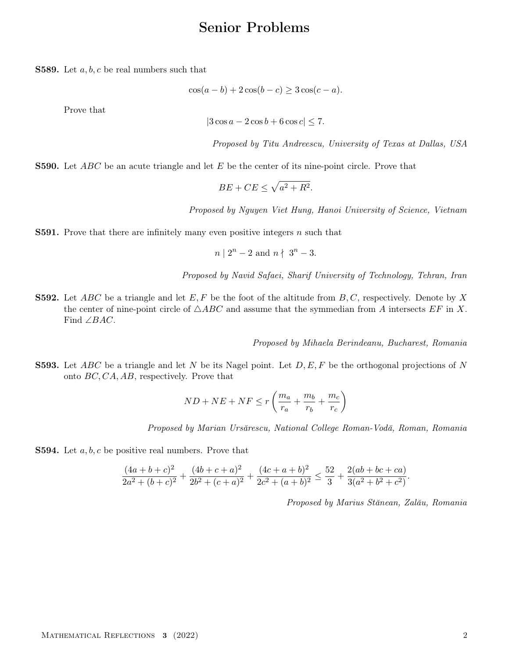## Senior Problems

**S589.** Let  $a, b, c$  be real numbers such that

$$
\cos(a-b) + 2\cos(b-c) \ge 3\cos(c-a).
$$

Prove that

$$
|3\cos a - 2\cos b + 6\cos c| \le 7.
$$

Proposed by Titu Andreescu, University of Texas at Dallas, USA

**S590.** Let ABC be an acute triangle and let E be the center of its nine-point circle. Prove that

$$
BE + CE \le \sqrt{a^2 + R^2}.
$$

Proposed by Nguyen Viet Hung, Hanoi University of Science, Vietnam

**S591.** Prove that there are infinitely many even positive integers  $n$  such that

$$
n \mid 2^n - 2 \text{ and } n \nmid 3^n - 3.
$$

Proposed by Navid Safaei, Sharif University of Technology, Tehran, Iran

**S592.** Let ABC be a triangle and let E, F be the foot of the altitude from  $B, C$ , respectively. Denote by X the center of nine-point circle of  $\triangle ABC$  and assume that the symmedian from A intersects EF in X. Find ∠BAC.

Proposed by Mihaela Berindeanu, Bucharest, Romania

**S593.** Let ABC be a triangle and let N be its Nagel point. Let  $D, E, F$  be the orthogonal projections of N onto BC, CA, AB, respectively. Prove that

$$
ND + NE + NF \le r\left(\frac{m_a}{r_a} + \frac{m_b}{r_b} + \frac{m_c}{r_c}\right)
$$

Proposed by Marian Ursărescu, National College Roman-Vodă, Roman, Romania

**S594.** Let  $a, b, c$  be positive real numbers. Prove that

$$
\frac{(4a+b+c)^2}{2a^2+(b+c)^2} + \frac{(4b+c+a)^2}{2b^2+(c+a)^2} + \frac{(4c+a+b)^2}{2c^2+(a+b)^2} \le \frac{52}{3} + \frac{2(ab+bc+ca)}{3(a^2+b^2+c^2)}.
$$

Proposed by Marius Stănean, Zalău, Romania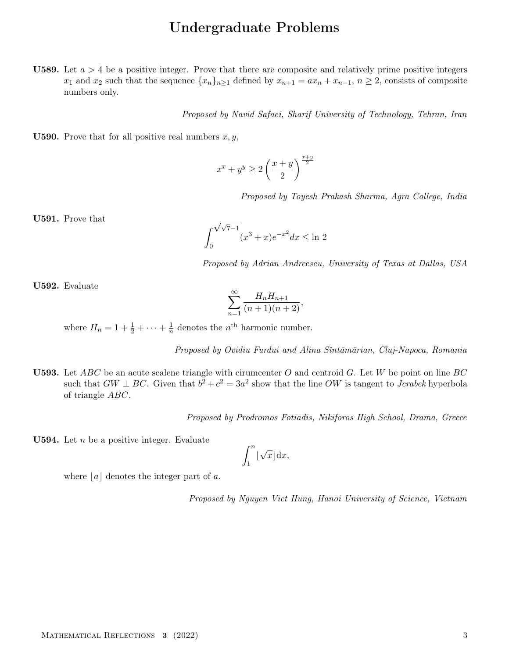## Undergraduate Problems

**U589.** Let  $a > 4$  be a positive integer. Prove that there are composite and relatively prime positive integers  $x_1$  and  $x_2$  such that the sequence  $\{x_n\}_{n\geq 1}$  defined by  $x_{n+1} = ax_n + x_{n-1}$ ,  $n \geq 2$ , consists of composite numbers only.

Proposed by Navid Safaei, Sharif University of Technology, Tehran, Iran

**U590.** Prove that for all positive real numbers  $x, y$ ,

$$
x^x + y^y \ge 2\left(\frac{x+y}{2}\right)^{\frac{x+y}{2}}
$$

Proposed by Toyesh Prakash Sharma, Agra College, India

U591. Prove that

$$
\int_0^{\sqrt{\sqrt{7}-1}} (x^3 + x)e^{-x^2} dx \le \ln 2
$$

Proposed by Adrian Andreescu, University of Texas at Dallas, USA

U592. Evaluate

$$
\sum_{n=1}^{\infty} \frac{H_n H_{n+1}}{(n+1)(n+2)},
$$

where  $H_n = 1 + \frac{1}{2} + \cdots + \frac{1}{n}$  $\frac{1}{n}$  denotes the  $n^{\text{th}}$  harmonic number.

Proposed by Ovidiu Furdui and Alina Sîntămărian, Cluj-Napoca, Romania

**U593.** Let  $ABC$  be an acute scalene triangle with cirumcenter O and centroid G. Let W be point on line BC such that  $GW \perp BC$ . Given that  $b^2 + c^2 = 3a^2$  show that the line OW is tangent to Jerabek hyperbola of triangle ABC.

Proposed by Prodromos Fotiadis, Nikiforos High School, Drama, Greece

**U594.** Let  $n$  be a positive integer. Evaluate

$$
\int_1^n \lfloor \sqrt{x} \rfloor \mathrm{d} x,
$$

where  $|a|$  denotes the integer part of a.

Proposed by Nguyen Viet Hung, Hanoi University of Science, Vietnam